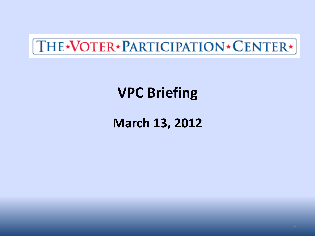## [THE\*VOTER\*PARTICIPATION\*CENTER\*]

## **VPC Briefing**

### **March 13, 2012**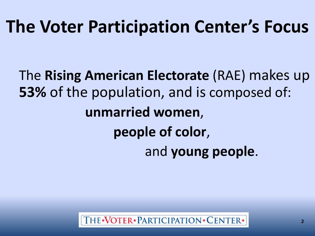# **The Voter Participation Center's Focus**

The **Rising American Electorate** (RAE) makes up **53%** of the population, and is composed of: **unmarried women**, **people of color**, and **young people**.

THE\*VOTER\*PARTICIPATION\*CENTER\*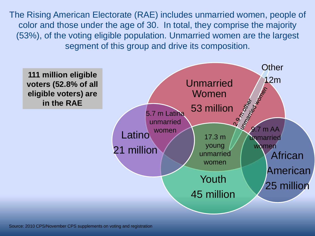The Rising American Electorate (RAE) includes unmarried women, people of color and those under the age of 30. In total, they comprise the majority (53%), of the voting eligible population. Unmarried women are the largest segment of this group and drive its composition.

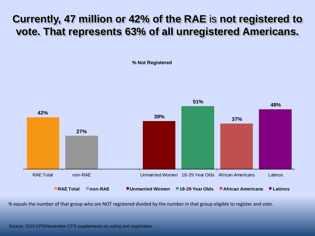#### **Currently, 47 million or 42% of the RAE** is **not registered to vote. That represents 63% of all unregistered Americans.**

**% Not Registered**



% equals the number of that group who are NOT registered divided by the number in that group eligible to register and vote.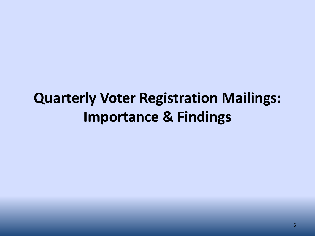## **Quarterly Voter Registration Mailings: Importance & Findings**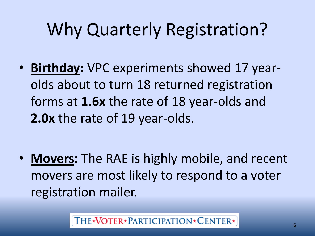# Why Quarterly Registration?

• **Birthday:** VPC experiments showed 17 yearolds about to turn 18 returned registration forms at **1.6x** the rate of 18 year-olds and **2.0x** the rate of 19 year-olds.

• **Movers:** The RAE is highly mobile, and recent movers are most likely to respond to a voter registration mailer.

THE\*VOTER\*PARTICIPATION\*CENTER\*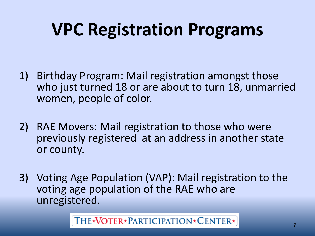# **VPC Registration Programs**

- 1) Birthday Program: Mail registration amongst those who just turned 18 or are about to turn 18, unmarried women, people of color.
- 2) RAE Movers: Mail registration to those who were previously registered at an address in another state or county.
- 3) Voting Age Population (VAP): Mail registration to the voting age population of the RAE who are unregistered.

THE\*NOTER\*PARTICIPATION\*CENTER\*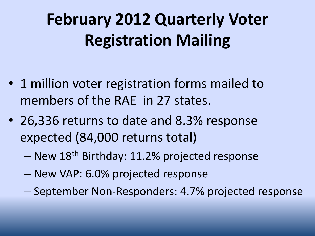## **February 2012 Quarterly Voter Registration Mailing**

- 1 million voter registration forms mailed to members of the RAE in 27 states.
- 26,336 returns to date and 8.3% response expected (84,000 returns total)
	- New 18th Birthday: 11.2% projected response
	- New VAP: 6.0% projected response
	- September Non-Responders: 4.7% projected response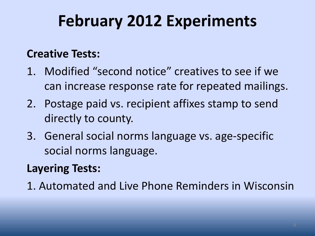## **February 2012 Experiments**

#### **Creative Tests:**

- 1. Modified "second notice" creatives to see if we can increase response rate for repeated mailings.
- 2. Postage paid vs. recipient affixes stamp to send directly to county.
- 3. General social norms language vs. age-specific social norms language.

#### **Layering Tests:**

1. Automated and Live Phone Reminders in Wisconsin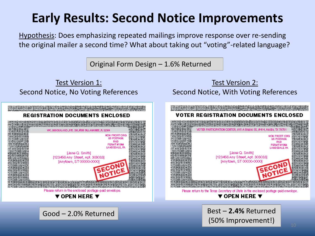#### **Early Results: Second Notice Improvements**

Hypothesis: Does emphasizing repeated mailings improve response over re-sending the original mailer a second time? What about taking out "voting"-related language?

Original Form Design – 1.6% Returned

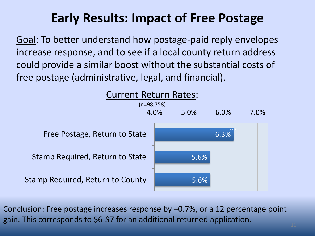### **Early Results: Impact of Free Postage**

Goal: To better understand how postage-paid reply envelopes increase response, and to see if a local county return address could provide a similar boost without the substantial costs of free postage (administrative, legal, and financial).



Conclusion: Free postage increases response by +0.7%, or a 12 percentage point gain. This corresponds to \$6-\$7 for an additional returned application.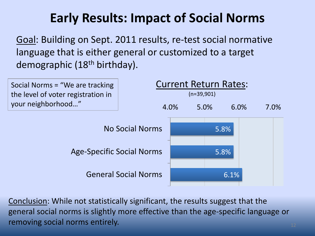### **Early Results: Impact of Social Norms**

Goal: Building on Sept. 2011 results, re-test social normative language that is either general or customized to a target demographic (18<sup>th</sup> birthday).



Conclusion: While not statistically significant, the results suggest that the general social norms is slightly more effective than the age-specific language or removing social norms entirely.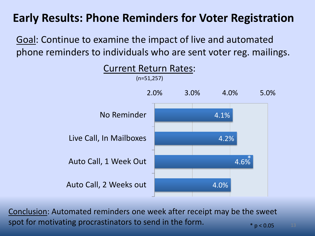#### **Early Results: Phone Reminders for Voter Registration**

Goal: Continue to examine the impact of live and automated phone reminders to individuals who are sent voter reg. mailings.



Conclusion: Automated reminders one week after receipt may be the sweet spot for motivating procrastinators to send in the form.  $*$  p < 0.05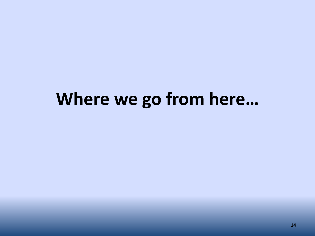## **Where we go from here…**